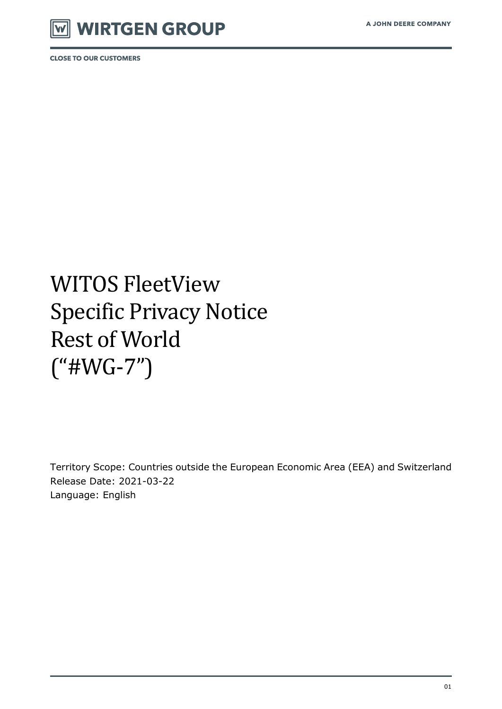

# WITOS FleetView Specific Privacy Notice Rest of World ("#WG-7")

Territory Scope: Countries outside the European Economic Area (EEA) and Switzerland Release Date: 2021-03-22 Language: English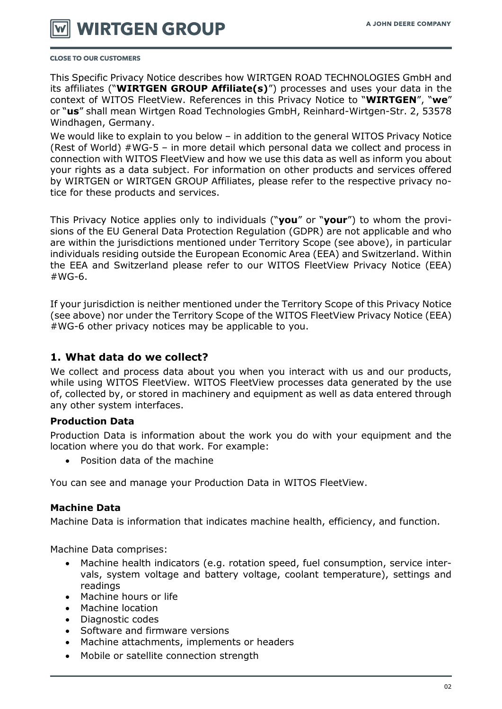

This Specific Privacy Notice describes how WIRTGEN ROAD TECHNOLOGIES GmbH and its affiliates ("**WIRTGEN GROUP Affiliate(s)**") processes and uses your data in the context of WITOS FleetView. References in this Privacy Notice to "**WIRTGEN**", "**we**" or "**us**" shall mean Wirtgen Road Technologies GmbH, Reinhard-Wirtgen-Str. 2, 53578 Windhagen, Germany.

We would like to explain to you below – in addition to the general WITOS Privacy Notice (Rest of World) #WG-5 – in more detail which personal data we collect and process in connection with WITOS FleetView and how we use this data as well as inform you about your rights as a data subject. For information on other products and services offered by WIRTGEN or WIRTGEN GROUP Affiliates, please refer to the respective privacy notice for these products and services.

This Privacy Notice applies only to individuals ("**you**" or "**your**") to whom the provisions of the EU General Data Protection Regulation (GDPR) are not applicable and who are within the jurisdictions mentioned under Territory Scope (see above), in particular individuals residing outside the European Economic Area (EEA) and Switzerland. Within the EEA and Switzerland please refer to our WITOS FleetView Privacy Notice (EEA)  $#WG-6.$ 

If your jurisdiction is neither mentioned under the Territory Scope of this Privacy Notice (see above) nor under the Territory Scope of the WITOS FleetView Privacy Notice (EEA) #WG-6 other privacy notices may be applicable to you.

#### **1. What data do we collect?**

We collect and process data about you when you interact with us and our products, while using WITOS FleetView. WITOS FleetView processes data generated by the use of, collected by, or stored in machinery and equipment as well as data entered through any other system interfaces.

#### **Production Data**

Production Data is information about the work you do with your equipment and the location where you do that work. For example:

Position data of the machine

You can see and manage your Production Data in WITOS FleetView.

#### **Machine Data**

Machine Data is information that indicates machine health, efficiency, and function.

Machine Data comprises:

- Machine health indicators (e.g. rotation speed, fuel consumption, service intervals, system voltage and battery voltage, coolant temperature), settings and readings
- Machine hours or life
- Machine location
- Diagnostic codes
- Software and firmware versions
- Machine attachments, implements or headers
- Mobile or satellite connection strength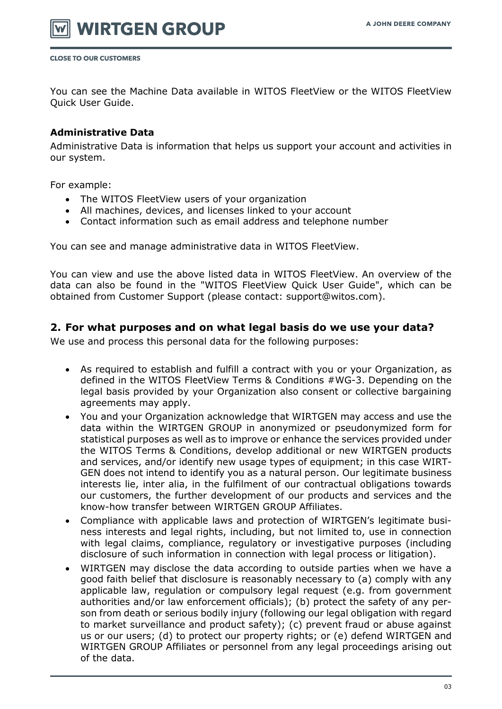

You can see the Machine Data available in WITOS FleetView or the WITOS FleetView Quick User Guide.

#### **Administrative Data**

Administrative Data is information that helps us support your account and activities in our system.

For example:

- The WITOS FleetView users of your organization
- All machines, devices, and licenses linked to your account
- Contact information such as email address and telephone number

You can see and manage administrative data in WITOS FleetView.

You can view and use the above listed data in WITOS FleetView. An overview of the data can also be found in the "WITOS FleetView Quick User Guide", which can be obtained from Customer Support (please contact: support@witos.com).

#### **2. For what purposes and on what legal basis do we use your data?**

We use and process this personal data for the following purposes:

- As required to establish and fulfill a contract with you or your Organization, as defined in the WITOS FleetView Terms & Conditions #WG-3. Depending on the legal basis provided by your Organization also consent or collective bargaining agreements may apply.
- You and your Organization acknowledge that WIRTGEN may access and use the data within the WIRTGEN GROUP in anonymized or pseudonymized form for statistical purposes as well as to improve or enhance the services provided under the WITOS Terms & Conditions, develop additional or new WIRTGEN products and services, and/or identify new usage types of equipment; in this case WIRT-GEN does not intend to identify you as a natural person. Our legitimate business interests lie, inter alia, in the fulfilment of our contractual obligations towards our customers, the further development of our products and services and the know-how transfer between WIRTGEN GROUP Affiliates.
- Compliance with applicable laws and protection of WIRTGEN's legitimate business interests and legal rights, including, but not limited to, use in connection with legal claims, compliance, regulatory or investigative purposes (including disclosure of such information in connection with legal process or litigation).
- WIRTGEN may disclose the data according to outside parties when we have a good faith belief that disclosure is reasonably necessary to (a) comply with any applicable law, regulation or compulsory legal request (e.g. from government authorities and/or law enforcement officials); (b) protect the safety of any person from death or serious bodily injury (following our legal obligation with regard to market surveillance and product safety); (c) prevent fraud or abuse against us or our users; (d) to protect our property rights; or (e) defend WIRTGEN and WIRTGEN GROUP Affiliates or personnel from any legal proceedings arising out of the data.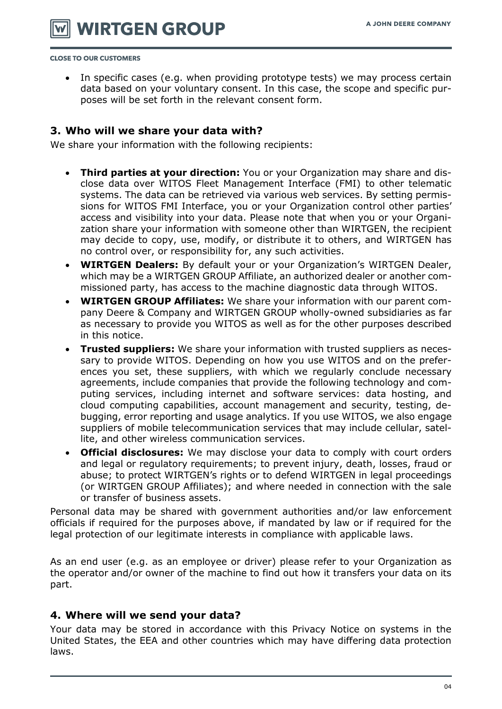**WIRTGEN GROUP** 

**CLOSE TO OUR CUSTOMERS** 

• In specific cases (e.g. when providing prototype tests) we may process certain data based on your voluntary consent. In this case, the scope and specific purposes will be set forth in the relevant consent form.

#### **3. Who will we share your data with?**

We share your information with the following recipients:

- **Third parties at your direction:** You or your Organization may share and disclose data over WITOS Fleet Management Interface (FMI) to other telematic systems. The data can be retrieved via various web services. By setting permissions for WITOS FMI Interface, you or your Organization control other parties' access and visibility into your data. Please note that when you or your Organization share your information with someone other than WIRTGEN, the recipient may decide to copy, use, modify, or distribute it to others, and WIRTGEN has no control over, or responsibility for, any such activities.
- **WIRTGEN Dealers:** By default your or your Organization's WIRTGEN Dealer, which may be a WIRTGEN GROUP Affiliate, an authorized dealer or another commissioned party, has access to the machine diagnostic data through WITOS.
- **WIRTGEN GROUP Affiliates:** We share your information with our parent company Deere & Company and WIRTGEN GROUP wholly-owned subsidiaries as far as necessary to provide you WITOS as well as for the other purposes described in this notice.
- **Trusted suppliers:** We share your information with trusted suppliers as necessary to provide WITOS. Depending on how you use WITOS and on the preferences you set, these suppliers, with which we regularly conclude necessary agreements, include companies that provide the following technology and computing services, including internet and software services: data hosting, and cloud computing capabilities, account management and security, testing, debugging, error reporting and usage analytics. If you use WITOS, we also engage suppliers of mobile telecommunication services that may include cellular, satellite, and other wireless communication services.
- **Official disclosures:** We may disclose your data to comply with court orders and legal or regulatory requirements; to prevent injury, death, losses, fraud or abuse; to protect WIRTGEN's rights or to defend WIRTGEN in legal proceedings (or WIRTGEN GROUP Affiliates); and where needed in connection with the sale or transfer of business assets.

Personal data may be shared with government authorities and/or law enforcement officials if required for the purposes above, if mandated by law or if required for the legal protection of our legitimate interests in compliance with applicable laws.

As an end user (e.g. as an employee or driver) please refer to your Organization as the operator and/or owner of the machine to find out how it transfers your data on its part.

#### **4. Where will we send your data?**

Your data may be stored in accordance with this Privacy Notice on systems in the United States, the EEA and other countries which may have differing data protection laws.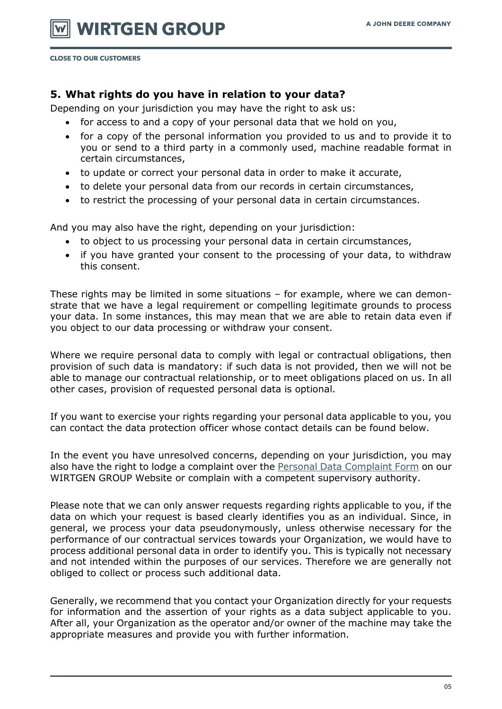## **5. What rights do you have in relation to your data?**

Depending on your jurisdiction you may have the right to ask us:

- for access to and a copy of your personal data that we hold on you,
- for a copy of the personal information you provided to us and to provide it to you or send to a third party in a commonly used, machine readable format in certain circumstances,
- to update or correct your personal data in order to make it accurate,
- to delete your personal data from our records in certain circumstances,
- to restrict the processing of your personal data in certain circumstances.

And you may also have the right, depending on your jurisdiction:

- to object to us processing your personal data in certain circumstances,
- if you have granted your consent to the processing of your data, to withdraw this consent.

These rights may be limited in some situations – for example, where we can demonstrate that we have a legal requirement or compelling legitimate grounds to process your data. In some instances, this may mean that we are able to retain data even if you object to our data processing or withdraw your consent.

Where we require personal data to comply with legal or contractual obligations, then provision of such data is mandatory: if such data is not provided, then we will not be able to manage our contractual relationship, or to meet obligations placed on us. In all other cases, provision of requested personal data is optional.

If you want to exercise your rights regarding your personal data applicable to you, you can contact the data protection officer whose contact details can be found below.

In the event you have unresolved concerns, depending on your jurisdiction, you may also have the right to lodge a complaint over the [Personal Data Complaint Form](https://www.wirtgen-group.com/en-de/legal/privacy-policy/#398024) on our WIRTGEN GROUP Website or complain with a competent supervisory authority.

Please note that we can only answer requests regarding rights applicable to you, if the data on which your request is based clearly identifies you as an individual. Since, in general, we process your data pseudonymously, unless otherwise necessary for the performance of our contractual services towards your Organization, we would have to process additional personal data in order to identify you. This is typically not necessary and not intended within the purposes of our services. Therefore we are generally not obliged to collect or process such additional data.

Generally, we recommend that you contact your Organization directly for your requests for information and the assertion of your rights as a data subject applicable to you. After all, your Organization as the operator and/or owner of the machine may take the appropriate measures and provide you with further information.